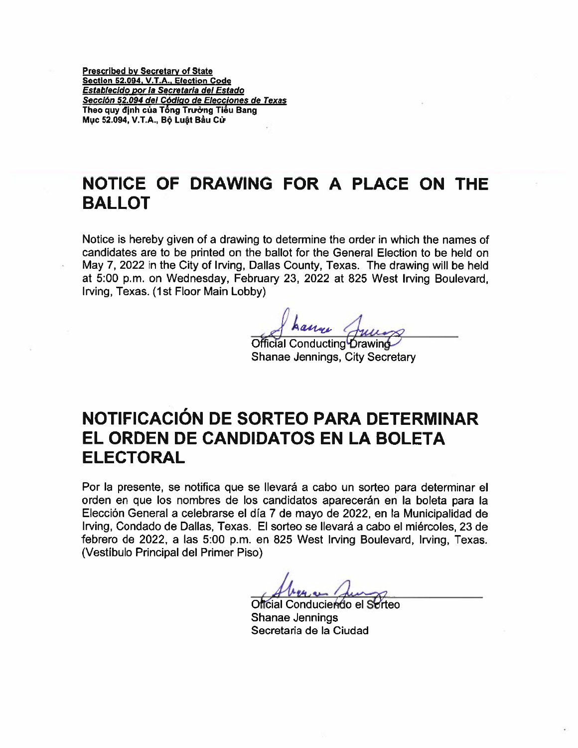Prescribed by Secretary of State Section 52.094, V.T.A., Election Code Establecido por Ia Secretaria del Estado Secciôn 52.094 del Código de Elecciones de Texas Theo quy định của Tổng Trường Tiểu Bang Mục 52.094, V.T.A., Bộ Luật Bầu Cử

## NOTICE OF DRAWING FOR A PLACE ON THE BALLOT

Notice is hereby given of <sup>a</sup> drawing to determine the order in which the names of candidates are to be printed on the ballot for the General Election to be held on May 7, 2022 in the City of Irving, Dallas County, Texas. The drawing will be held at 5:00 p.m. on Wednesday, February 23, 2022 at 825 West Irving Boulevard, Irving, Texas. (1st Floor Main Lobby)

JL Junos

Official Conducting Drawing Shanae Jennings, City Secretary

## NOTIFICACION DE SORTEO PARA DETERMINAR EL ORDEN DE CANDIDATOS EN LA BOLETA ELECTORAL

Por Ia presente, se notitica que se llevarã <sup>a</sup> cabo un sorteo pars determinar el orden en que los nombres de los candidatos aparecerán en Ia boleta para Ia Elección General a celebrarse el día 7 de mayo de 2022, en la Municipalidad de Irving, Condado de Dallas, Texas. El sorteo se llevará <sup>a</sup> cabo el miércoles, 23 de febrero de 2022, <sup>a</sup> las 5:00 p.m. en 825 West Irving Boulevard, Irving, Texas. (Vestibulo Principal del Primer Piso)

Oficial Conduciendo el Sorteo Shanae Jennings Secretaria de Ia Ciudad